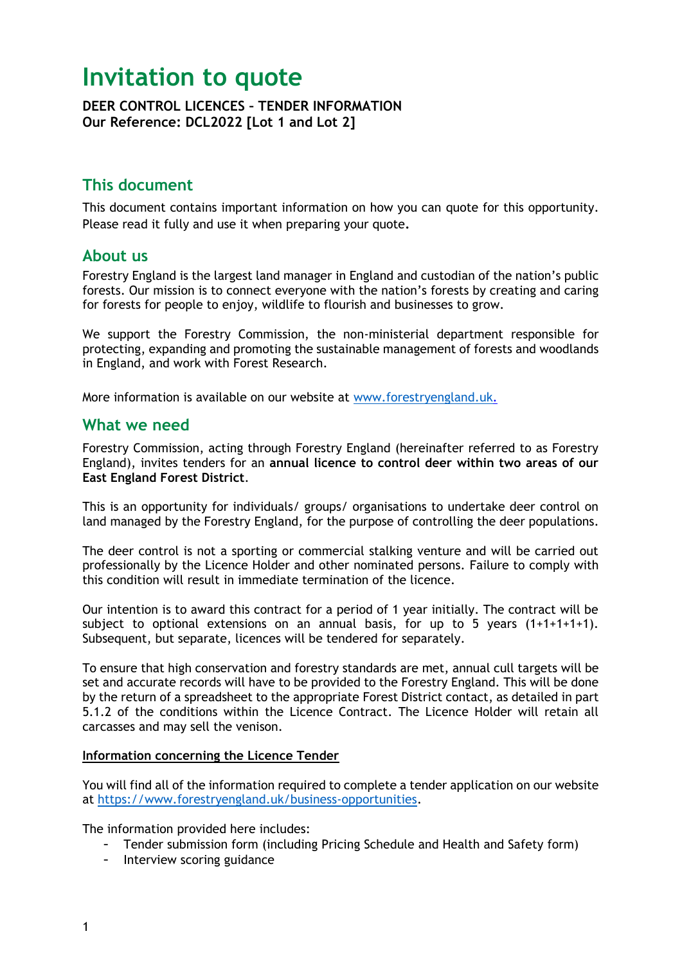# **Invitation to quote**

**DEER CONTROL LICENCES – TENDER INFORMATION Our Reference: DCL2022 [Lot 1 and Lot 2]**

## **This document**

This document contains important information on how you can quote for this opportunity. Please read it fully and use it when preparing your quote**.** 

### **About us**

Forestry England is the largest land manager in England and custodian of the nation's public forests. Our mission is to connect everyone with the nation's forests by creating and caring for forests for people to enjoy, wildlife to flourish and businesses to grow.

We support the Forestry Commission, the non-ministerial department responsible for protecting, expanding and promoting the sustainable management of forests and woodlands in England, and work with Forest Research.

More information is available on our website at [www.forestryengland.uk.](http://www.forestryengland.uk/)

## **What we need**

Forestry Commission, acting through Forestry England (hereinafter referred to as Forestry England), invites tenders for an **annual licence to control deer within two areas of our East England Forest District**.

This is an opportunity for individuals/ groups/ organisations to undertake deer control on land managed by the Forestry England, for the purpose of controlling the deer populations.

The deer control is not a sporting or commercial stalking venture and will be carried out professionally by the Licence Holder and other nominated persons. Failure to comply with this condition will result in immediate termination of the licence.

Our intention is to award this contract for a period of 1 year initially. The contract will be subject to optional extensions on an annual basis, for up to 5 years  $(1+1+1+1)$ . Subsequent, but separate, licences will be tendered for separately.

To ensure that high conservation and forestry standards are met, annual cull targets will be set and accurate records will have to be provided to the Forestry England. This will be done by the return of a spreadsheet to the appropriate Forest District contact, as detailed in part 5.1.2 of the conditions within the Licence Contract. The Licence Holder will retain all carcasses and may sell the venison.

#### **Information concerning the Licence Tender**

You will find all of the information required to complete a tender application on our website at [https://www.forestryengland.uk/business-opportunities.](https://www.forestryengland.uk/business-opportunities)

The information provided here includes:

- Tender submission form (including Pricing Schedule and Health and Safety form)
- Interview scoring guidance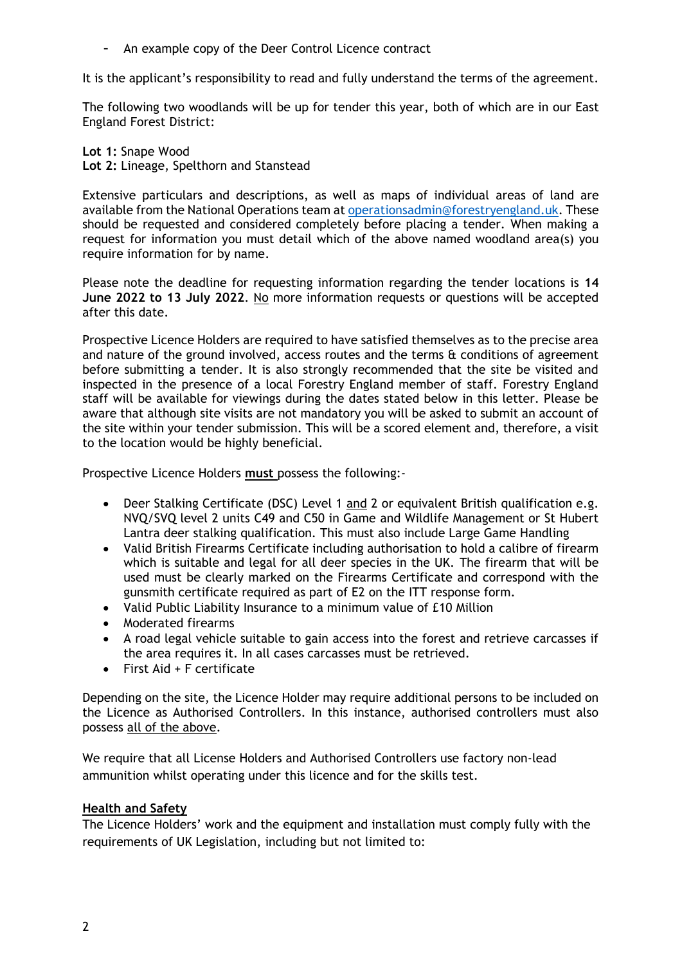- An example copy of the Deer Control Licence contract

It is the applicant's responsibility to read and fully understand the terms of the agreement.

The following two woodlands will be up for tender this year, both of which are in our East England Forest District:

**Lot 1:** Snape Wood **Lot 2:** Lineage, Spelthorn and Stanstead

Extensive particulars and descriptions, as well as maps of individual areas of land are available from the National Operations team at [operationsadmin@forestryengland.uk.](mailto:operationsadmin@forestryengland.uk) These should be requested and considered completely before placing a tender. When making a request for information you must detail which of the above named woodland area(s) you require information for by name.

Please note the deadline for requesting information regarding the tender locations is **14 June 2022 to 13 July 2022**. No more information requests or questions will be accepted after this date.

Prospective Licence Holders are required to have satisfied themselves as to the precise area and nature of the ground involved, access routes and the terms & conditions of agreement before submitting a tender. It is also strongly recommended that the site be visited and inspected in the presence of a local Forestry England member of staff. Forestry England staff will be available for viewings during the dates stated below in this letter. Please be aware that although site visits are not mandatory you will be asked to submit an account of the site within your tender submission. This will be a scored element and, therefore, a visit to the location would be highly beneficial.

Prospective Licence Holders **must** possess the following:-

- Deer Stalking Certificate (DSC) Level 1 and 2 or equivalent British qualification e.g. NVQ/SVQ level 2 units C49 and C50 in Game and Wildlife Management or St Hubert Lantra deer stalking qualification. This must also include Large Game Handling
- Valid British Firearms Certificate including authorisation to hold a calibre of firearm which is suitable and legal for all deer species in the UK. The firearm that will be used must be clearly marked on the Firearms Certificate and correspond with the gunsmith certificate required as part of E2 on the ITT response form.
- Valid Public Liability Insurance to a minimum value of £10 Million
- Moderated firearms
- A road legal vehicle suitable to gain access into the forest and retrieve carcasses if the area requires it. In all cases carcasses must be retrieved.
- First Aid + F certificate

Depending on the site, the Licence Holder may require additional persons to be included on the Licence as Authorised Controllers. In this instance, authorised controllers must also possess all of the above.

We require that all License Holders and Authorised Controllers use factory non-lead ammunition whilst operating under this licence and for the skills test.

#### **Health and Safety**

The Licence Holders' work and the equipment and installation must comply fully with the requirements of UK Legislation, including but not limited to: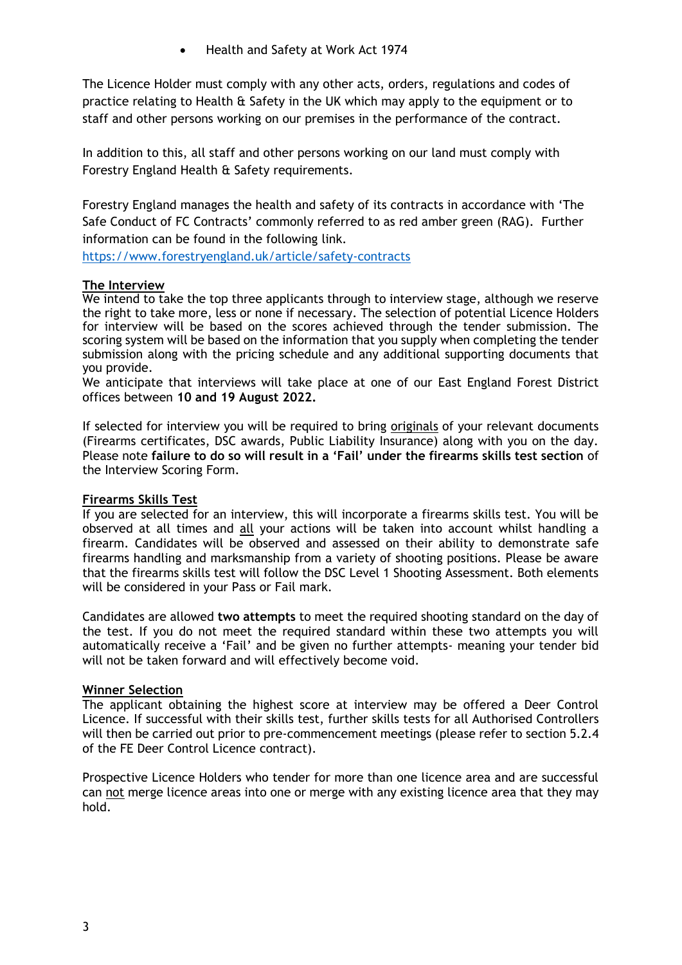• Health and Safety at Work Act 1974

The Licence Holder must comply with any other acts, orders, regulations and codes of practice relating to Health & Safety in the UK which may apply to the equipment or to staff and other persons working on our premises in the performance of the contract.

In addition to this, all staff and other persons working on our land must comply with Forestry England Health & Safety requirements.

Forestry England manages the health and safety of its contracts in accordance with 'The Safe Conduct of FC Contracts' commonly referred to as red amber green (RAG). Further information can be found in the following link.

<https://www.forestryengland.uk/article/safety-contracts>

#### **The Interview**

We intend to take the top three applicants through to interview stage, although we reserve the right to take more, less or none if necessary. The selection of potential Licence Holders for interview will be based on the scores achieved through the tender submission. The scoring system will be based on the information that you supply when completing the tender submission along with the pricing schedule and any additional supporting documents that you provide.

We anticipate that interviews will take place at one of our East England Forest District offices between **10 and 19 August 2022.**

If selected for interview you will be required to bring originals of your relevant documents (Firearms certificates, DSC awards, Public Liability Insurance) along with you on the day. Please note **failure to do so will result in a 'Fail' under the firearms skills test section** of the Interview Scoring Form.

#### **Firearms Skills Test**

If you are selected for an interview, this will incorporate a firearms skills test. You will be observed at all times and all your actions will be taken into account whilst handling a firearm. Candidates will be observed and assessed on their ability to demonstrate safe firearms handling and marksmanship from a variety of shooting positions. Please be aware that the firearms skills test will follow the DSC Level 1 Shooting Assessment. Both elements will be considered in your Pass or Fail mark.

Candidates are allowed **two attempts** to meet the required shooting standard on the day of the test. If you do not meet the required standard within these two attempts you will automatically receive a 'Fail' and be given no further attempts- meaning your tender bid will not be taken forward and will effectively become void.

#### **Winner Selection**

The applicant obtaining the highest score at interview may be offered a Deer Control Licence. If successful with their skills test, further skills tests for all Authorised Controllers will then be carried out prior to pre-commencement meetings (please refer to section 5.2.4 of the FE Deer Control Licence contract).

Prospective Licence Holders who tender for more than one licence area and are successful can not merge licence areas into one or merge with any existing licence area that they may hold.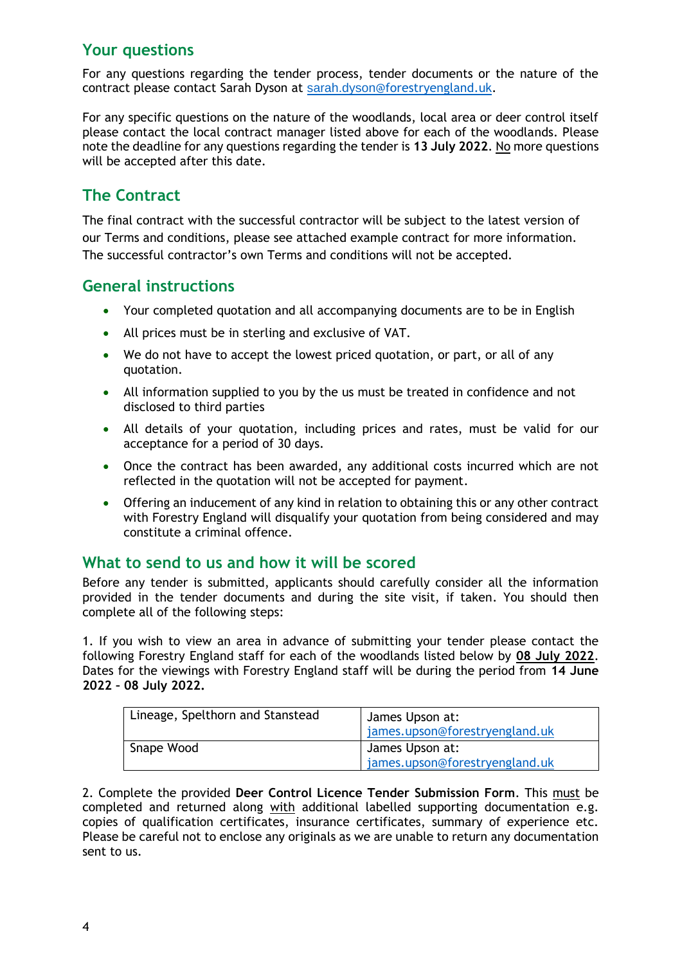# **Your questions**

For any questions regarding the tender process, tender documents or the nature of the contract please contact Sarah Dyson at [sarah.dyson](mailto:sarah.dyson@forestryengland.uk)[@forestryengland.uk.](mailto:sarah.dyson@forestryengland.uk)

For any specific questions on the nature of the woodlands, local area or deer control itself please contact the local contract manager listed above for each of the woodlands. Please note the deadline for any questions regarding the tender is **13 July 2022**. No more questions will be accepted after this date.

# **The Contract**

The final contract with the successful contractor will be subject to the latest version of our Terms and conditions, please see attached example contract for more information. The successful contractor's own Terms and conditions will not be accepted.

## **General instructions**

- Your completed quotation and all accompanying documents are to be in English
- All prices must be in sterling and exclusive of VAT.
- We do not have to accept the lowest priced quotation, or part, or all of any quotation.
- All information supplied to you by the us must be treated in confidence and not disclosed to third parties
- All details of your quotation, including prices and rates, must be valid for our acceptance for a period of 30 days.
- Once the contract has been awarded, any additional costs incurred which are not reflected in the quotation will not be accepted for payment.
- Offering an inducement of any kind in relation to obtaining this or any other contract with Forestry England will disqualify your quotation from being considered and may constitute a criminal offence.

## **What to send to us and how it will be scored**

Before any tender is submitted, applicants should carefully consider all the information provided in the tender documents and during the site visit, if taken. You should then complete all of the following steps:

1. If you wish to view an area in advance of submitting your tender please contact the following Forestry England staff for each of the woodlands listed below by **08 July 2022**. Dates for the viewings with Forestry England staff will be during the period from **14 June 2022 – 08 July 2022.**

| Lineage, Spelthorn and Stanstead | James Upson at:<br>james.upson@forestryengland.uk |
|----------------------------------|---------------------------------------------------|
| Snape Wood                       | James Upson at:<br>james.upson@forestryengland.uk |

2. Complete the provided **Deer Control Licence Tender Submission Form**. This must be completed and returned along with additional labelled supporting documentation e.g. copies of qualification certificates, insurance certificates, summary of experience etc. Please be careful not to enclose any originals as we are unable to return any documentation sent to us.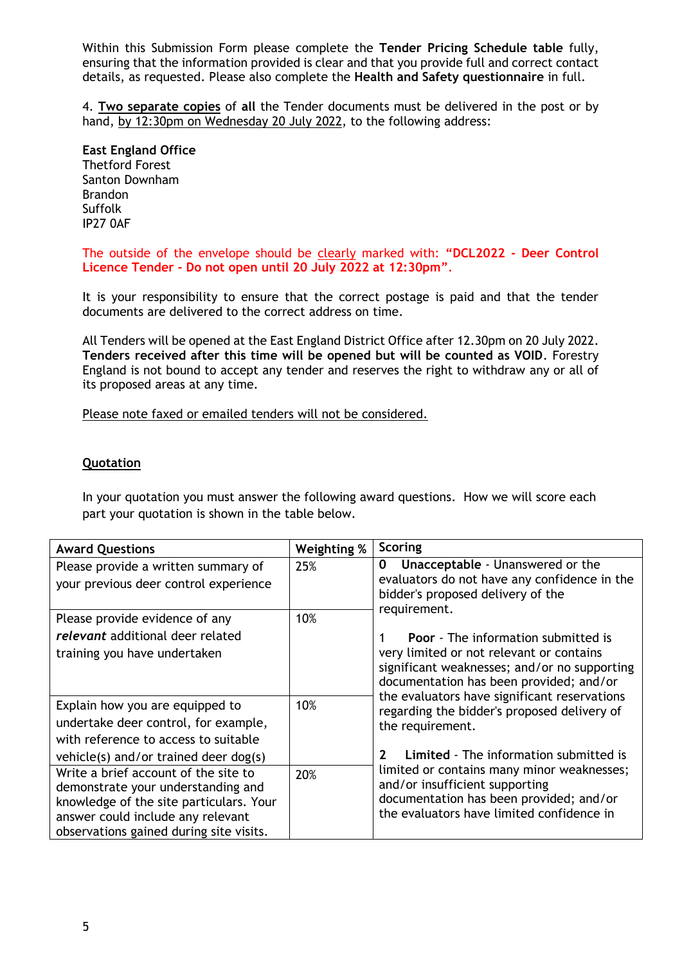Within this Submission Form please complete the **Tender Pricing Schedule table** fully, ensuring that the information provided is clear and that you provide full and correct contact details, as requested. Please also complete the **Health and Safety questionnaire** in full.

4. **Two separate copies** of **all** the Tender documents must be delivered in the post or by hand, by 12:30pm on Wednesday 20 July 2022, to the following address:

**East England Office** Thetford Forest Santon Downham Brandon Suffolk IP27 0AF

The outside of the envelope should be clearly marked with: **"DCL2022 - Deer Control Licence Tender - Do not open until 20 July 2022 at 12:30pm"**.

It is your responsibility to ensure that the correct postage is paid and that the tender documents are delivered to the correct address on time.

All Tenders will be opened at the East England District Office after 12.30pm on 20 July 2022. **Tenders received after this time will be opened but will be counted as VOID**. Forestry England is not bound to accept any tender and reserves the right to withdraw any or all of its proposed areas at any time.

Please note faxed or emailed tenders will not be considered.

#### **Quotation**

In your quotation you must answer the following award questions. How we will score each part your quotation is shown in the table below.

| <b>Award Questions</b>                                                                                                                                                                                | Weighting % | Scoring                                                                                                                                                                           |
|-------------------------------------------------------------------------------------------------------------------------------------------------------------------------------------------------------|-------------|-----------------------------------------------------------------------------------------------------------------------------------------------------------------------------------|
| Please provide a written summary of<br>your previous deer control experience                                                                                                                          | 25%         | <b>Unacceptable - Unanswered or the</b><br>0<br>evaluators do not have any confidence in the<br>bidder's proposed delivery of the<br>requirement.                                 |
| Please provide evidence of any<br>relevant additional deer related<br>training you have undertaken                                                                                                    | 10%         | <b>Poor</b> - The information submitted is<br>very limited or not relevant or contains<br>significant weaknesses; and/or no supporting<br>documentation has been provided; and/or |
| Explain how you are equipped to<br>undertake deer control, for example,<br>with reference to access to suitable<br>vehicle(s) and/or trained deer dog(s)                                              | 10%         | the evaluators have significant reservations<br>regarding the bidder's proposed delivery of<br>the requirement.<br><b>Limited</b> - The information submitted is<br>$\mathcal{P}$ |
| Write a brief account of the site to<br>demonstrate your understanding and<br>knowledge of the site particulars. Your<br>answer could include any relevant<br>observations gained during site visits. | 20%         | limited or contains many minor weaknesses;<br>and/or insufficient supporting<br>documentation has been provided; and/or<br>the evaluators have limited confidence in              |